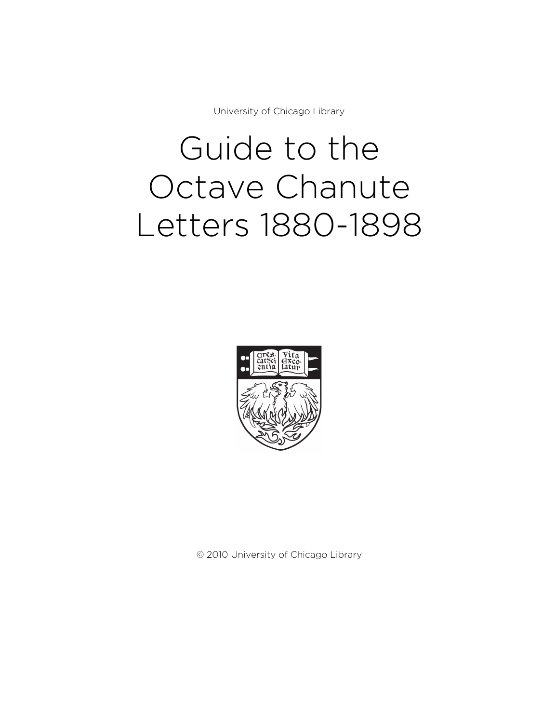University of Chicago Library

# Guide to the Octave Chanute Letters 1880-1898



© 2010 University of Chicago Library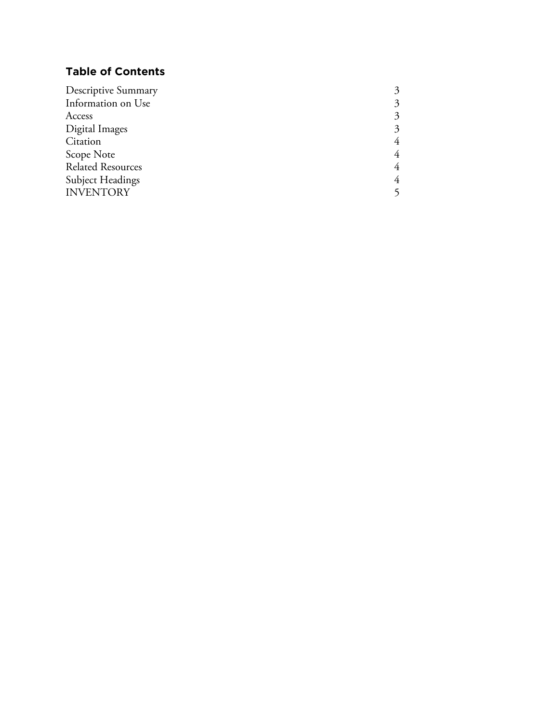# **Table of Contents**

| Descriptive Summary      |   |
|--------------------------|---|
| Information on Use       | 3 |
| Access                   | 3 |
| Digital Images           | 3 |
| Citation                 | 4 |
| Scope Note               | 4 |
| <b>Related Resources</b> | 4 |
| <b>Subject Headings</b>  | 4 |
| <b>INVENTORY</b>         |   |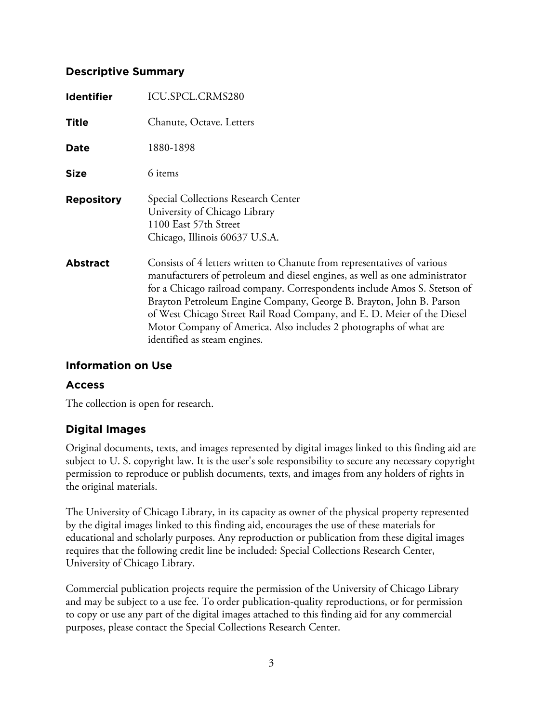#### **Descriptive Summary**

| <b>Identifier</b> | ICU.SPCL.CRMS280                                                                                                                                                                                                                                                                                                                                                                                                                                                                            |
|-------------------|---------------------------------------------------------------------------------------------------------------------------------------------------------------------------------------------------------------------------------------------------------------------------------------------------------------------------------------------------------------------------------------------------------------------------------------------------------------------------------------------|
| <b>Title</b>      | Chanute, Octave. Letters                                                                                                                                                                                                                                                                                                                                                                                                                                                                    |
| <b>Date</b>       | 1880-1898                                                                                                                                                                                                                                                                                                                                                                                                                                                                                   |
| <b>Size</b>       | 6 items                                                                                                                                                                                                                                                                                                                                                                                                                                                                                     |
| <b>Repository</b> | Special Collections Research Center<br>University of Chicago Library<br>1100 East 57th Street<br>Chicago, Illinois 60637 U.S.A.                                                                                                                                                                                                                                                                                                                                                             |
| <b>Abstract</b>   | Consists of 4 letters written to Chanute from representatives of various<br>manufacturers of petroleum and diesel engines, as well as one administrator<br>for a Chicago railroad company. Correspondents include Amos S. Stetson of<br>Brayton Petroleum Engine Company, George B. Brayton, John B. Parson<br>of West Chicago Street Rail Road Company, and E. D. Meier of the Diesel<br>Motor Company of America. Also includes 2 photographs of what are<br>identified as steam engines. |

#### **Information on Use**

#### **Access**

The collection is open for research.

#### **Digital Images**

Original documents, texts, and images represented by digital images linked to this finding aid are subject to U. S. copyright law. It is the user's sole responsibility to secure any necessary copyright permission to reproduce or publish documents, texts, and images from any holders of rights in the original materials.

The University of Chicago Library, in its capacity as owner of the physical property represented by the digital images linked to this finding aid, encourages the use of these materials for educational and scholarly purposes. Any reproduction or publication from these digital images requires that the following credit line be included: Special Collections Research Center, University of Chicago Library.

Commercial publication projects require the permission of the University of Chicago Library and may be subject to a use fee. To order publication-quality reproductions, or for permission to copy or use any part of the digital images attached to this finding aid for any commercial purposes, please contact the Special Collections Research Center.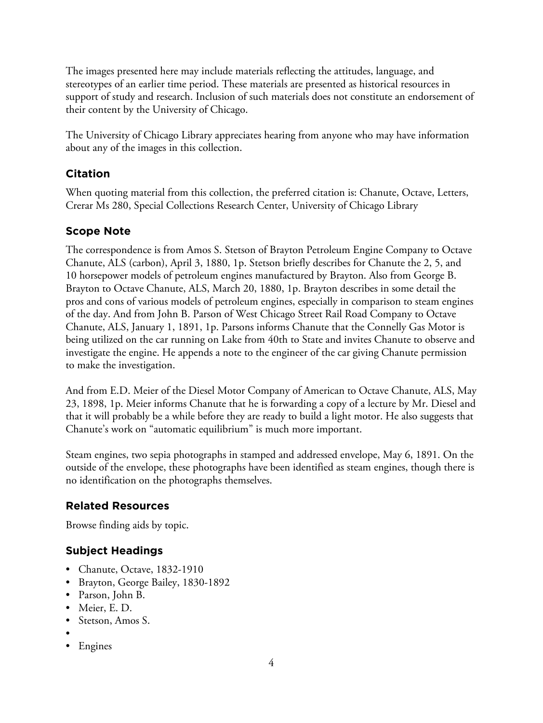The images presented here may include materials reflecting the attitudes, language, and stereotypes of an earlier time period. These materials are presented as historical resources in support of study and research. Inclusion of such materials does not constitute an endorsement of their content by the University of Chicago.

The University of Chicago Library appreciates hearing from anyone who may have information about any of the images in this collection.

# **Citation**

When quoting material from this collection, the preferred citation is: Chanute, Octave, Letters, Crerar Ms 280, Special Collections Research Center, University of Chicago Library

# **Scope Note**

The correspondence is from Amos S. Stetson of Brayton Petroleum Engine Company to Octave Chanute, ALS (carbon), April 3, 1880, 1p. Stetson briefly describes for Chanute the 2, 5, and 10 horsepower models of petroleum engines manufactured by Brayton. Also from George B. Brayton to Octave Chanute, ALS, March 20, 1880, 1p. Brayton describes in some detail the pros and cons of various models of petroleum engines, especially in comparison to steam engines of the day. And from John B. Parson of West Chicago Street Rail Road Company to Octave Chanute, ALS, January 1, 1891, 1p. Parsons informs Chanute that the Connelly Gas Motor is being utilized on the car running on Lake from 40th to State and invites Chanute to observe and investigate the engine. He appends a note to the engineer of the car giving Chanute permission to make the investigation.

And from E.D. Meier of the Diesel Motor Company of American to Octave Chanute, ALS, May 23, 1898, 1p. Meier informs Chanute that he is forwarding a copy of a lecture by Mr. Diesel and that it will probably be a while before they are ready to build a light motor. He also suggests that Chanute's work on "automatic equilibrium" is much more important.

Steam engines, two sepia photographs in stamped and addressed envelope, May 6, 1891. On the outside of the envelope, these photographs have been identified as steam engines, though there is no identification on the photographs themselves.

# **Related Resources**

Browse finding aids by topic.

# **Subject Headings**

- Chanute, Octave, 1832-1910
- Brayton, George Bailey, 1830-1892
- Parson, John B.
- Meier, E. D.
- Stetson, Amos S.
- •
- Engines